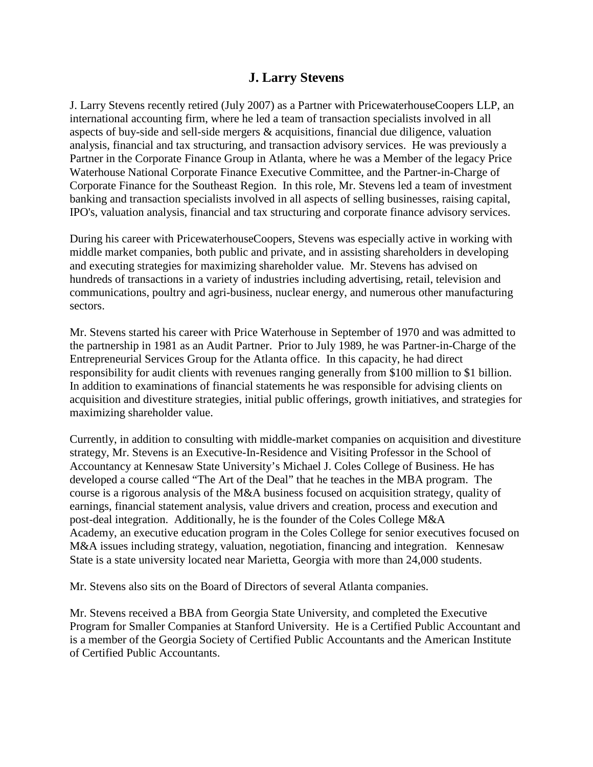## **J. Larry Stevens**

J. Larry Stevens recently retired (July 2007) as a Partner with PricewaterhouseCoopers LLP, an international accounting firm, where he led a team of transaction specialists involved in all aspects of buy-side and sell-side mergers & acquisitions, financial due diligence, valuation analysis, financial and tax structuring, and transaction advisory services. He was previously a Partner in the Corporate Finance Group in Atlanta, where he was a Member of the legacy Price Waterhouse National Corporate Finance Executive Committee, and the Partner-in-Charge of Corporate Finance for the Southeast Region. In this role, Mr. Stevens led a team of investment banking and transaction specialists involved in all aspects of selling businesses, raising capital, IPO's, valuation analysis, financial and tax structuring and corporate finance advisory services.

During his career with PricewaterhouseCoopers, Stevens was especially active in working with middle market companies, both public and private, and in assisting shareholders in developing and executing strategies for maximizing shareholder value. Mr. Stevens has advised on hundreds of transactions in a variety of industries including advertising, retail, television and communications, poultry and agri-business, nuclear energy, and numerous other manufacturing sectors.

Mr. Stevens started his career with Price Waterhouse in September of 1970 and was admitted to the partnership in 1981 as an Audit Partner. Prior to July 1989, he was Partner-in-Charge of the Entrepreneurial Services Group for the Atlanta office. In this capacity, he had direct responsibility for audit clients with revenues ranging generally from \$100 million to \$1 billion. In addition to examinations of financial statements he was responsible for advising clients on acquisition and divestiture strategies, initial public offerings, growth initiatives, and strategies for maximizing shareholder value.

Currently, in addition to consulting with middle-market companies on acquisition and divestiture strategy, Mr. Stevens is an Executive-In-Residence and Visiting Professor in the School of Accountancy at Kennesaw State University's Michael J. Coles College of Business. He has developed a course called "The Art of the Deal" that he teaches in the MBA program. The course is a rigorous analysis of the M&A business focused on acquisition strategy, quality of earnings, financial statement analysis, value drivers and creation, process and execution and post-deal integration. Additionally, he is the founder of the Coles College M&A Academy, an executive education program in the Coles College for senior executives focused on M&A issues including strategy, valuation, negotiation, financing and integration. Kennesaw State is a state university located near Marietta, Georgia with more than 24,000 students.

Mr. Stevens also sits on the Board of Directors of several Atlanta companies.

Mr. Stevens received a BBA from Georgia State University, and completed the Executive Program for Smaller Companies at Stanford University. He is a Certified Public Accountant and is a member of the Georgia Society of Certified Public Accountants and the American Institute of Certified Public Accountants.